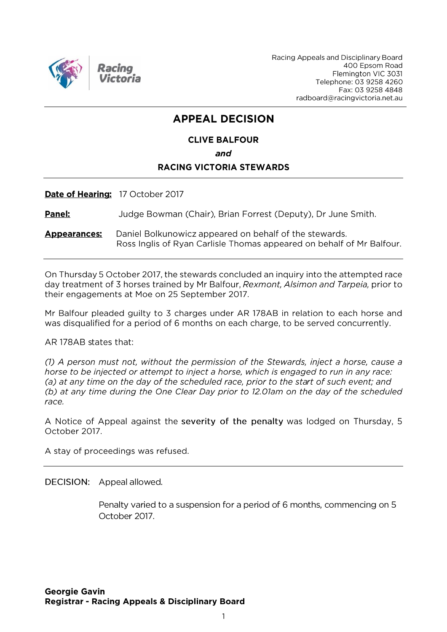

Racing Appeals and Disciplinary Board 400 Epsom Road Flemington VIC 3031 Telephone: 03 9258 4260 Fax: 03 9258 4848 radboard@racingvictoria.net.au

# **APPEAL DECISION**

# **CLIVE BALFOUR** and **RACING VICTORIA STEWARDS**

Date of Hearing: 17 October 2017

Panel: Judge Bowman (Chair), Brian Forrest (Deputy), Dr June Smith.

**Appearances:** Daniel Bolkunowicz appeared on behalf of the stewards. Ross Inglis of Ryan Carlisle Thomas appeared on behalf of Mr Balfour.

On Thursday 5 October 2017, the stewards concluded an inquiry into the attempted race day treatment of 3 horses trained by Mr Balfour, Rexmont, Alsimon and Tarpeia, prior to their engagements at Moe on 25 September 2017.

Mr Balfour pleaded guilty to 3 charges under AR 178AB in relation to each horse and was disqualified for a period of 6 months on each charge, to be served concurrently.

AR 178AB states that:

(1) A person must not, without the permission of the Stewards, inject a horse, cause a horse to be injected or attempt to inject a horse, which is engaged to run in any race: (a) at any time on the day of the scheduled race, prior to the start of such event; and (b) at any time during the One Clear Day prior to 12.01am on the day of the scheduled race.

A Notice of Appeal against the severity of the penalty was lodged on Thursday, 5 October 2017.

A stay of proceedings was refused.

DECISION: Appeal allowed.

Penalty varied to a suspension for a period of 6 months, commencing on 5 October 2017.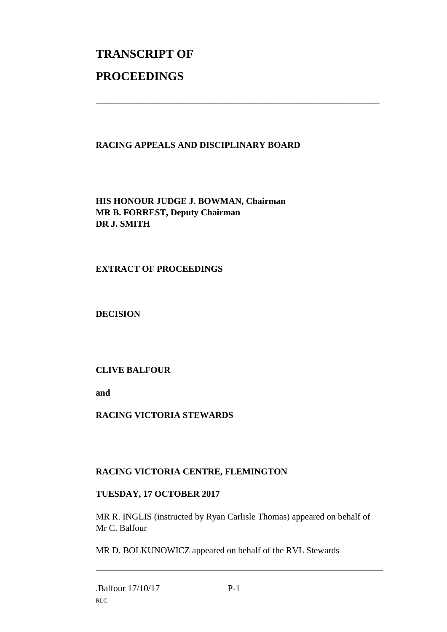# **TRANSCRIPT OF PROCEEDINGS**

# **RACING APPEALS AND DISCIPLINARY BOARD**

\_\_\_\_\_\_\_\_\_\_\_\_\_\_\_\_\_\_\_\_\_\_\_\_\_\_\_\_\_\_\_\_\_\_\_\_\_\_\_\_\_\_\_\_\_\_\_\_\_\_\_\_\_\_\_\_\_\_\_\_\_\_\_

**HIS HONOUR JUDGE J. BOWMAN, Chairman MR B. FORREST, Deputy Chairman DR J. SMITH**

#### **EXTRACT OF PROCEEDINGS**

**DECISION**

# **CLIVE BALFOUR**

**and**

# **RACING VICTORIA STEWARDS**

# **RACING VICTORIA CENTRE, FLEMINGTON**

# **TUESDAY, 17 OCTOBER 2017**

MR R. INGLIS (instructed by Ryan Carlisle Thomas) appeared on behalf of Mr C. Balfour

MR D. BOLKUNOWICZ appeared on behalf of the RVL Stewards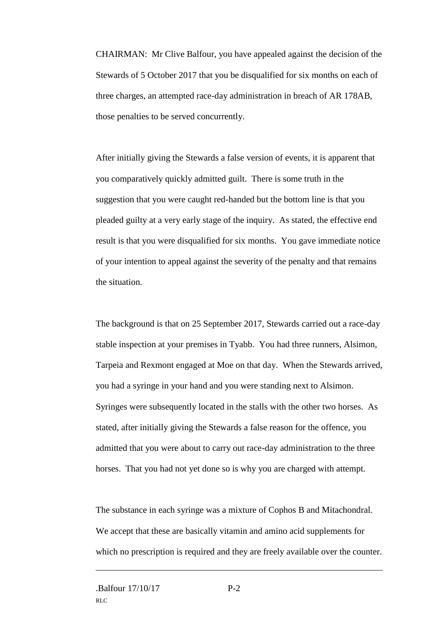CHAIRMAN: Mr Clive Balfour, you have appealed against the decision of the Stewards of 5 October 2017 that you be disqualified for six months on each of three charges, an attempted race-day administration in breach of AR 178AB, those penalties to be served concurrently.

After initially giving the Stewards a false version of events, it is apparent that you comparatively quickly admitted guilt. There is some truth in the suggestion that you were caught red-handed but the bottom line is that you pleaded guilty at a very early stage of the inquiry. As stated, the effective end result is that you were disqualified for six months. You gave immediate notice of your intention to appeal against the severity of the penalty and that remains the situation.

The background is that on 25 September 2017, Stewards carried out a race-day stable inspection at your premises in Tyabb. You had three runners, Alsimon, Tarpeia and Rexmont engaged at Moe on that day. When the Stewards arrived, you had a syringe in your hand and you were standing next to Alsimon. Syringes were subsequently located in the stalls with the other two horses. As stated, after initially giving the Stewards a false reason for the offence, you admitted that you were about to carry out race-day administration to the three horses. That you had not yet done so is why you are charged with attempt.

The substance in each syringe was a mixture of Cophos B and Mitachondral. We accept that these are basically vitamin and amino acid supplements for which no prescription is required and they are freely available over the counter.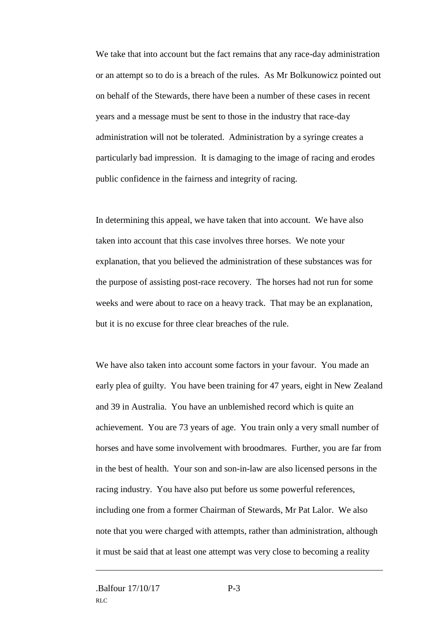We take that into account but the fact remains that any race-day administration or an attempt so to do is a breach of the rules. As Mr Bolkunowicz pointed out on behalf of the Stewards, there have been a number of these cases in recent years and a message must be sent to those in the industry that race-day administration will not be tolerated. Administration by a syringe creates a particularly bad impression. It is damaging to the image of racing and erodes public confidence in the fairness and integrity of racing.

In determining this appeal, we have taken that into account. We have also taken into account that this case involves three horses. We note your explanation, that you believed the administration of these substances was for the purpose of assisting post-race recovery. The horses had not run for some weeks and were about to race on a heavy track. That may be an explanation, but it is no excuse for three clear breaches of the rule.

We have also taken into account some factors in your favour. You made an early plea of guilty. You have been training for 47 years, eight in New Zealand and 39 in Australia. You have an unblemished record which is quite an achievement. You are 73 years of age. You train only a very small number of horses and have some involvement with broodmares. Further, you are far from in the best of health. Your son and son-in-law are also licensed persons in the racing industry. You have also put before us some powerful references, including one from a former Chairman of Stewards, Mr Pat Lalor. We also note that you were charged with attempts, rather than administration, although it must be said that at least one attempt was very close to becoming a reality